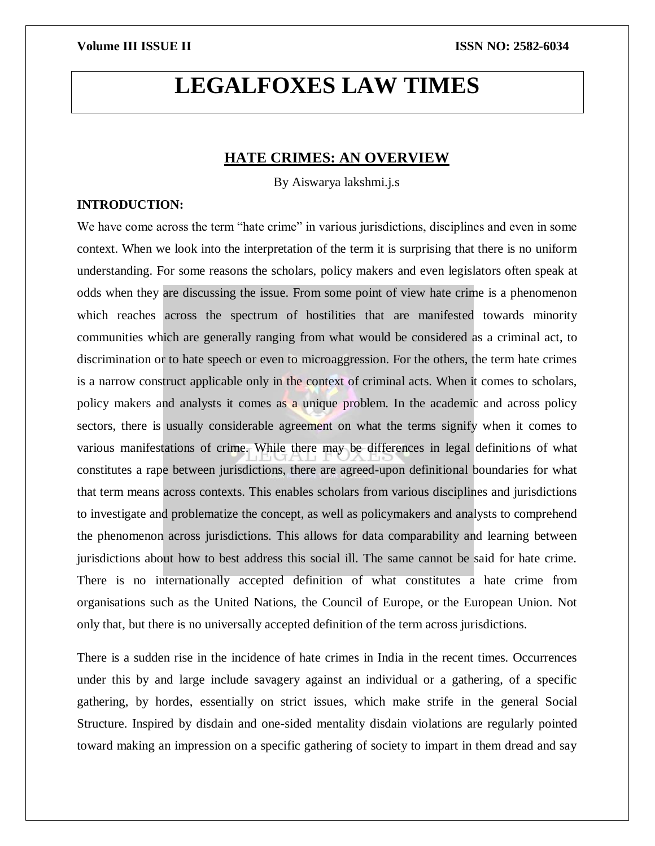# **LEGALFOXES LAW TIMES**

# **HATE CRIMES: AN OVERVIEW**

By Aiswarya lakshmi.j.s

### **INTRODUCTION:**

We have come across the term "hate crime" in various jurisdictions, disciplines and even in some context. When we look into the interpretation of the term it is surprising that there is no uniform understanding. For some reasons the scholars, policy makers and even legislators often speak at odds when they are discussing the issue. From some point of view hate crime is a phenomenon which reaches across the spectrum of hostilities that are manifested towards minority communities which are generally ranging from what would be considered as a criminal act, to discrimination or to hate speech or even to microaggression. For the others, the term hate crimes is a narrow construct applicable only in the context of criminal acts. When it comes to scholars, policy makers and analysts it comes as a unique problem. In the academic and across policy sectors, there is usually considerable agreement on what the terms signify when it comes to various manifestations of crime. While there may be differences in legal definitions of what constitutes a rape between jurisdictions, there are agreed-upon definitional boundaries for what that term means across contexts. This enables scholars from various disciplines and jurisdictions to investigate and problematize the concept, as well as policymakers and analysts to comprehend the phenomenon across jurisdictions. This allows for data comparability and learning between jurisdictions about how to best address this social ill. The same cannot be said for hate crime. There is no internationally accepted definition of what constitutes a hate crime from organisations such as the United Nations, the Council of Europe, or the European Union. Not only that, but there is no universally accepted definition of the term across jurisdictions.

There is a sudden rise in the incidence of hate crimes in India in the recent times. Occurrences under this by and large include savagery against an individual or a gathering, of a specific gathering, by hordes, essentially on strict issues, which make strife in the general Social Structure. Inspired by disdain and one-sided mentality disdain violations are regularly pointed toward making an impression on a specific gathering of society to impart in them dread and say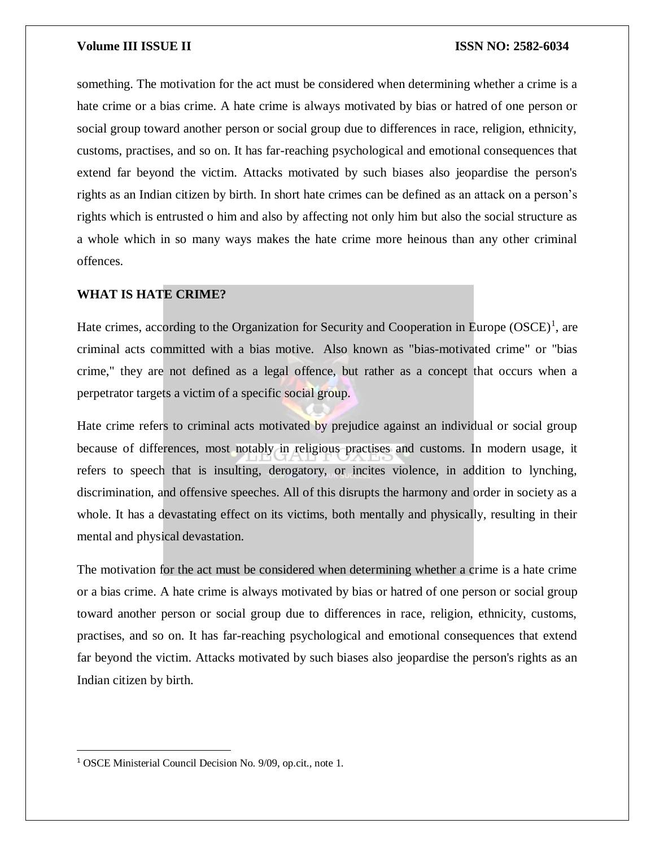something. The motivation for the act must be considered when determining whether a crime is a hate crime or a bias crime. A hate crime is always motivated by bias or hatred of one person or social group toward another person or social group due to differences in race, religion, ethnicity, customs, practises, and so on. It has far-reaching psychological and emotional consequences that extend far beyond the victim. Attacks motivated by such biases also jeopardise the person's rights as an Indian citizen by birth. In short hate crimes can be defined as an attack on a person's rights which is entrusted o him and also by affecting not only him but also the social structure as a whole which in so many ways makes the hate crime more heinous than any other criminal offences.

# **WHAT IS HATE CRIME?**

Hate crimes, according to the Organization for Security and Cooperation in Europe  $(OSCE)^1$ , are criminal acts committed with a bias motive. Also known as "bias-motivated crime" or "bias crime," they are not defined as a legal offence, but rather as a concept that occurs when a perpetrator targets a victim of a specific social group.

Hate crime refers to criminal acts motivated by prejudice against an individual or social group because of differences, most notably in religious practises and customs. In modern usage, it refers to speech that is insulting, derogatory, or incites violence, in addition to lynching, discrimination, and offensive speeches. All of this disrupts the harmony and order in society as a whole. It has a devastating effect on its victims, both mentally and physically, resulting in their mental and physical devastation.

The motivation for the act must be considered when determining whether a crime is a hate crime or a bias crime. A hate crime is always motivated by bias or hatred of one person or social group toward another person or social group due to differences in race, religion, ethnicity, customs, practises, and so on. It has far-reaching psychological and emotional consequences that extend far beyond the victim. Attacks motivated by such biases also jeopardise the person's rights as an Indian citizen by birth.

 $\overline{a}$ 

<sup>1</sup> OSCE Ministerial Council Decision No. 9/09, op.cit., note 1.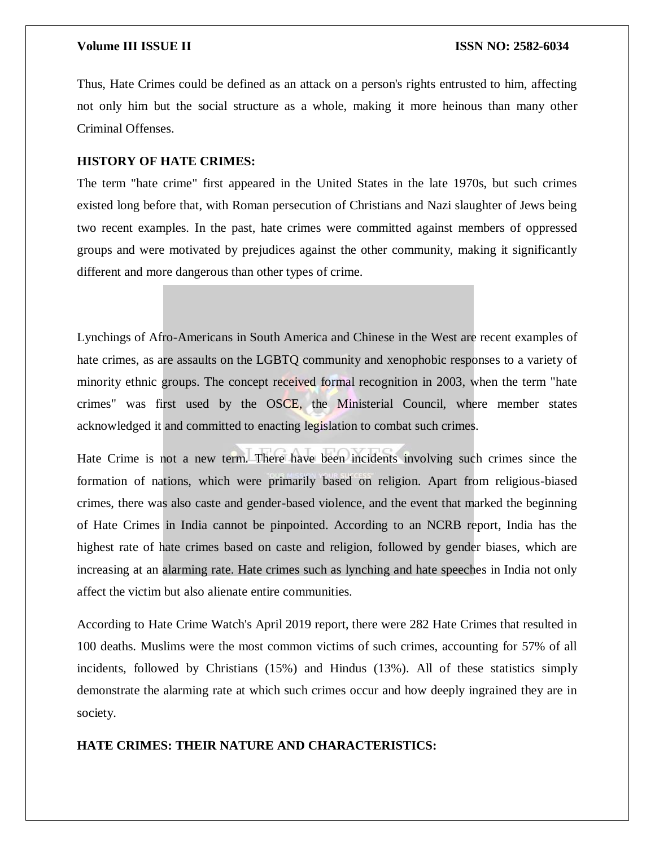Thus, Hate Crimes could be defined as an attack on a person's rights entrusted to him, affecting not only him but the social structure as a whole, making it more heinous than many other Criminal Offenses.

# **HISTORY OF HATE CRIMES:**

The term "hate crime" first appeared in the United States in the late 1970s, but such crimes existed long before that, with Roman persecution of Christians and Nazi slaughter of Jews being two recent examples. In the past, hate crimes were committed against members of oppressed groups and were motivated by prejudices against the other community, making it significantly different and more dangerous than other types of crime.

Lynchings of Afro-Americans in South America and Chinese in the West are recent examples of hate crimes, as are assaults on the LGBTQ community and xenophobic responses to a variety of minority ethnic groups. The concept received formal recognition in 2003, when the term "hate crimes" was first used by the OSCE, the Ministerial Council, where member states acknowledged it and committed to enacting legislation to combat such crimes.

Hate Crime is not a new term. There have been incidents involving such crimes since the formation of nations, which were primarily based on religion. Apart from religious-biased crimes, there was also caste and gender-based violence, and the event that marked the beginning of Hate Crimes in India cannot be pinpointed. According to an NCRB report, India has the highest rate of hate crimes based on caste and religion, followed by gender biases, which are increasing at an alarming rate. Hate crimes such as lynching and hate speeches in India not only affect the victim but also alienate entire communities.

According to Hate Crime Watch's April 2019 report, there were 282 Hate Crimes that resulted in 100 deaths. Muslims were the most common victims of such crimes, accounting for 57% of all incidents, followed by Christians (15%) and Hindus (13%). All of these statistics simply demonstrate the alarming rate at which such crimes occur and how deeply ingrained they are in society.

**HATE CRIMES: THEIR NATURE AND CHARACTERISTICS:**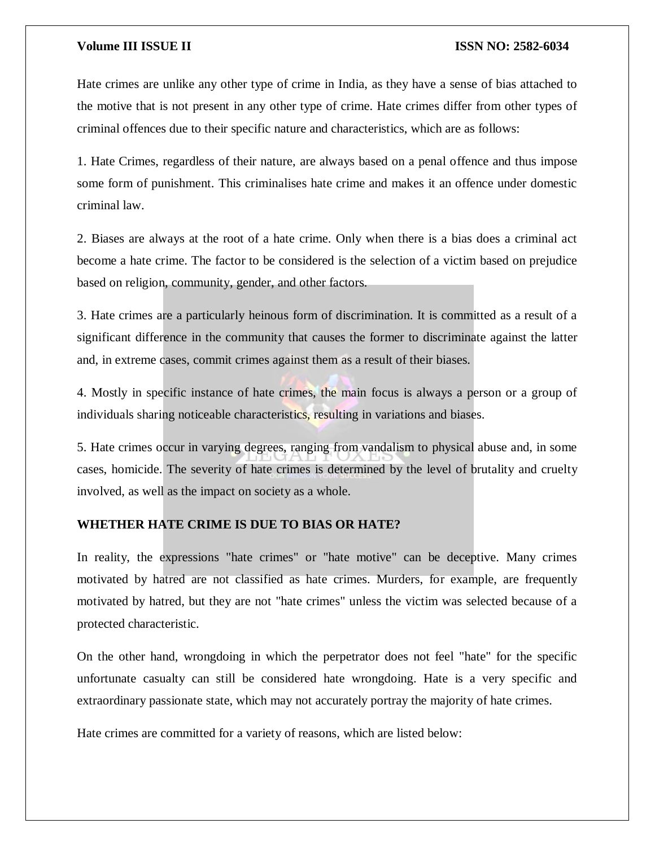Hate crimes are unlike any other type of crime in India, as they have a sense of bias attached to the motive that is not present in any other type of crime. Hate crimes differ from other types of criminal offences due to their specific nature and characteristics, which are as follows:

1. Hate Crimes, regardless of their nature, are always based on a penal offence and thus impose some form of punishment. This criminalises hate crime and makes it an offence under domestic criminal law.

2. Biases are always at the root of a hate crime. Only when there is a bias does a criminal act become a hate crime. The factor to be considered is the selection of a victim based on prejudice based on religion, community, gender, and other factors.

3. Hate crimes are a particularly heinous form of discrimination. It is committed as a result of a significant difference in the community that causes the former to discriminate against the latter and, in extreme cases, commit crimes against them as a result of their biases.

4. Mostly in specific instance of hate crimes, the main focus is always a person or a group of individuals sharing noticeable characteristics, resulting in variations and biases.

5. Hate crimes occur in varying degrees, ranging from vandalism to physical abuse and, in some cases, homicide. The severity of hate crimes is determined by the level of brutality and cruelty involved, as well as the impact on society as a whole.

# **WHETHER HATE CRIME IS DUE TO BIAS OR HATE?**

In reality, the expressions "hate crimes" or "hate motive" can be deceptive. Many crimes motivated by hatred are not classified as hate crimes. Murders, for example, are frequently motivated by hatred, but they are not "hate crimes" unless the victim was selected because of a protected characteristic.

On the other hand, wrongdoing in which the perpetrator does not feel "hate" for the specific unfortunate casualty can still be considered hate wrongdoing. Hate is a very specific and extraordinary passionate state, which may not accurately portray the majority of hate crimes.

Hate crimes are committed for a variety of reasons, which are listed below: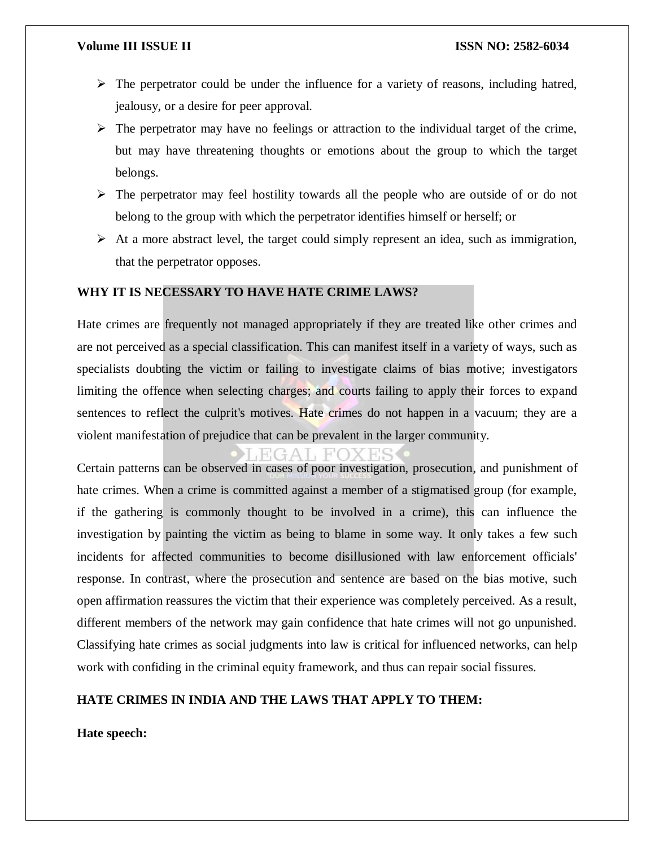- $\triangleright$  The perpetrator could be under the influence for a variety of reasons, including hatred, jealousy, or a desire for peer approval.
- $\triangleright$  The perpetrator may have no feelings or attraction to the individual target of the crime, but may have threatening thoughts or emotions about the group to which the target belongs.
- $\triangleright$  The perpetrator may feel hostility towards all the people who are outside of or do not belong to the group with which the perpetrator identifies himself or herself; or
- $\triangleright$  At a more abstract level, the target could simply represent an idea, such as immigration, that the perpetrator opposes.

# **WHY IT IS NECESSARY TO HAVE HATE CRIME LAWS?**

Hate crimes are frequently not managed appropriately if they are treated like other crimes and are not perceived as a special classification. This can manifest itself in a variety of ways, such as specialists doubting the victim or failing to investigate claims of bias motive; investigators limiting the offence when selecting charges; and courts failing to apply their forces to expand sentences to reflect the culprit's motives. Hate crimes do not happen in a vacuum; they are a violent manifestation of prejudice that can be prevalent in the larger community.

Certain patterns can be observed in cases of poor investigation, prosecution, and punishment of hate crimes. When a crime is committed against a member of a stigmatised group (for example, if the gathering is commonly thought to be involved in a crime), this can influence the investigation by painting the victim as being to blame in some way. It only takes a few such incidents for affected communities to become disillusioned with law enforcement officials' response. In contrast, where the prosecution and sentence are based on the bias motive, such open affirmation reassures the victim that their experience was completely perceived. As a result, different members of the network may gain confidence that hate crimes will not go unpunished. Classifying hate crimes as social judgments into law is critical for influenced networks, can help work with confiding in the criminal equity framework, and thus can repair social fissures.

# **HATE CRIMES IN INDIA AND THE LAWS THAT APPLY TO THEM:**

**Hate speech:**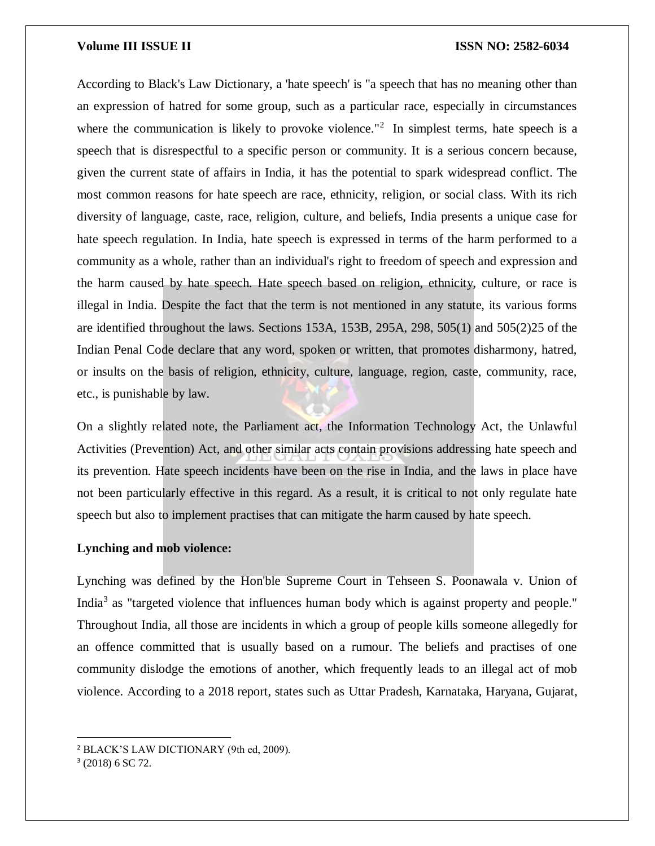According to Black's Law Dictionary, a 'hate speech' is "a speech that has no meaning other than an expression of hatred for some group, such as a particular race, especially in circumstances where the communication is likely to provoke violence."<sup>2</sup> In simplest terms, hate speech is a speech that is disrespectful to a specific person or community. It is a serious concern because, given the current state of affairs in India, it has the potential to spark widespread conflict. The most common reasons for hate speech are race, ethnicity, religion, or social class. With its rich diversity of language, caste, race, religion, culture, and beliefs, India presents a unique case for hate speech regulation. In India, hate speech is expressed in terms of the harm performed to a community as a whole, rather than an individual's right to freedom of speech and expression and the harm caused by hate speech. Hate speech based on religion, ethnicity, culture, or race is illegal in India. Despite the fact that the term is not mentioned in any statute, its various forms are identified throughout the laws. Sections 153A, 153B, 295A, 298, 505(1) and 505(2)25 of the Indian Penal Code declare that any word, spoken or written, that promotes disharmony, hatred, or insults on the basis of religion, ethnicity, culture, language, region, caste, community, race, etc., is punishable by law.

On a slightly related note, the Parliament act, the Information Technology Act, the Unlawful Activities (Prevention) Act, and other similar acts contain provisions addressing hate speech and its prevention. Hate speech incidents have been on the rise in India, and the laws in place have not been particularly effective in this regard. As a result, it is critical to not only regulate hate speech but also to implement practises that can mitigate the harm caused by hate speech.

#### **Lynching and mob violence:**

Lynching was defined by the Hon'ble Supreme Court in Tehseen S. Poonawala v. Union of India<sup>3</sup> as "targeted violence that influences human body which is against property and people." Throughout India, all those are incidents in which a group of people kills someone allegedly for an offence committed that is usually based on a rumour. The beliefs and practises of one community dislodge the emotions of another, which frequently leads to an illegal act of mob violence. According to a 2018 report, states such as Uttar Pradesh, Karnataka, Haryana, Gujarat,

 $\overline{\phantom{a}}$ 

<sup>2</sup> BLACK'S LAW DICTIONARY (9th ed, 2009).

 $3(2018)$  6 SC 72.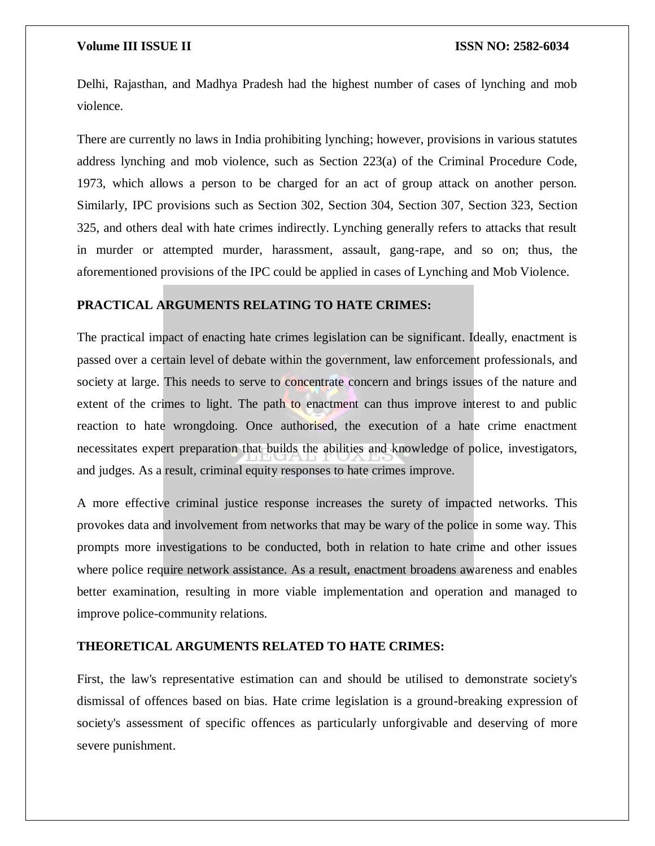Delhi, Rajasthan, and Madhya Pradesh had the highest number of cases of lynching and mob violence.

There are currently no laws in India prohibiting lynching; however, provisions in various statutes address lynching and mob violence, such as Section 223(a) of the Criminal Procedure Code, 1973, which allows a person to be charged for an act of group attack on another person. Similarly, IPC provisions such as Section 302, Section 304, Section 307, Section 323, Section 325, and others deal with hate crimes indirectly. Lynching generally refers to attacks that result in murder or attempted murder, harassment, assault, gang-rape, and so on; thus, the aforementioned provisions of the IPC could be applied in cases of Lynching and Mob Violence.

### **PRACTICAL ARGUMENTS RELATING TO HATE CRIMES:**

The practical impact of enacting hate crimes legislation can be significant. Ideally, enactment is passed over a certain level of debate within the government, law enforcement professionals, and society at large. This needs to serve to concentrate concern and brings issues of the nature and extent of the crimes to light. The path to enactment can thus improve interest to and public reaction to hate wrongdoing. Once authorised, the execution of a hate crime enactment necessitates expert preparation that builds the abilities and knowledge of police, investigators, and judges. As a result, criminal equity responses to hate crimes improve.

A more effective criminal justice response increases the surety of impacted networks. This provokes data and involvement from networks that may be wary of the police in some way. This prompts more investigations to be conducted, both in relation to hate crime and other issues where police require network assistance. As a result, enactment broadens awareness and enables better examination, resulting in more viable implementation and operation and managed to improve police-community relations.

### **THEORETICAL ARGUMENTS RELATED TO HATE CRIMES:**

First, the law's representative estimation can and should be utilised to demonstrate society's dismissal of offences based on bias. Hate crime legislation is a ground-breaking expression of society's assessment of specific offences as particularly unforgivable and deserving of more severe punishment.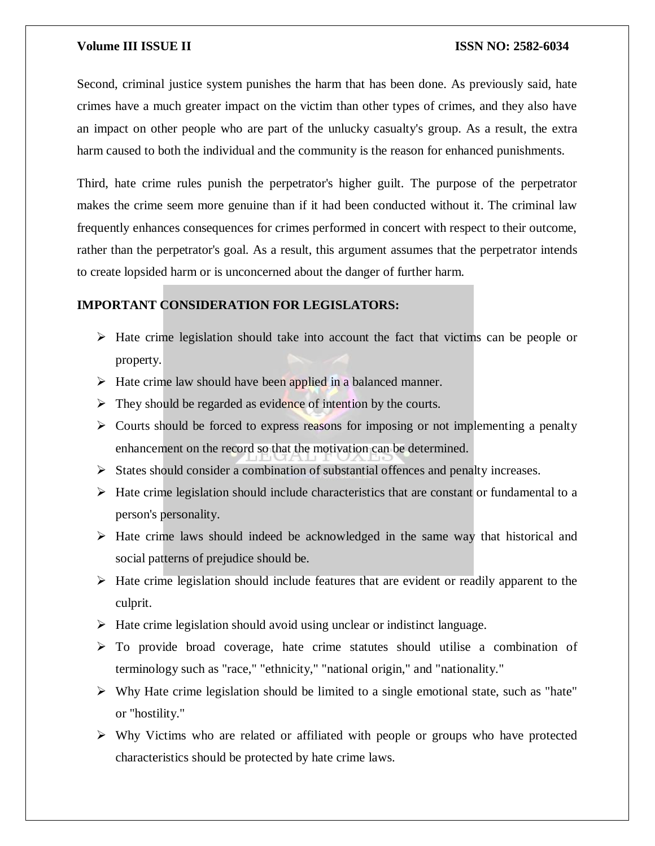Second, criminal justice system punishes the harm that has been done. As previously said, hate crimes have a much greater impact on the victim than other types of crimes, and they also have an impact on other people who are part of the unlucky casualty's group. As a result, the extra harm caused to both the individual and the community is the reason for enhanced punishments.

Third, hate crime rules punish the perpetrator's higher guilt. The purpose of the perpetrator makes the crime seem more genuine than if it had been conducted without it. The criminal law frequently enhances consequences for crimes performed in concert with respect to their outcome, rather than the perpetrator's goal. As a result, this argument assumes that the perpetrator intends to create lopsided harm or is unconcerned about the danger of further harm.

# **IMPORTANT CONSIDERATION FOR LEGISLATORS:**

- $\triangleright$  Hate crime legislation should take into account the fact that victims can be people or property.
- $\triangleright$  Hate crime law should have been applied in a balanced manner.
- $\triangleright$  They should be regarded as evidence of intention by the courts.
- $\triangleright$  Courts should be forced to express reasons for imposing or not implementing a penalty enhancement on the record so that the motivation can be determined.
- $\triangleright$  States should consider a combination of substantial offences and penalty increases.
- $\triangleright$  Hate crime legislation should include characteristics that are constant or fundamental to a person's personality.
- $\triangleright$  Hate crime laws should indeed be acknowledged in the same way that historical and social patterns of prejudice should be.
- $\triangleright$  Hate crime legislation should include features that are evident or readily apparent to the culprit.
- $\triangleright$  Hate crime legislation should avoid using unclear or indistinct language.
- To provide broad coverage, hate crime statutes should utilise a combination of terminology such as "race," "ethnicity," "national origin," and "nationality."
- $\triangleright$  Why Hate crime legislation should be limited to a single emotional state, such as "hate" or "hostility."
- $\triangleright$  Why Victims who are related or affiliated with people or groups who have protected characteristics should be protected by hate crime laws.